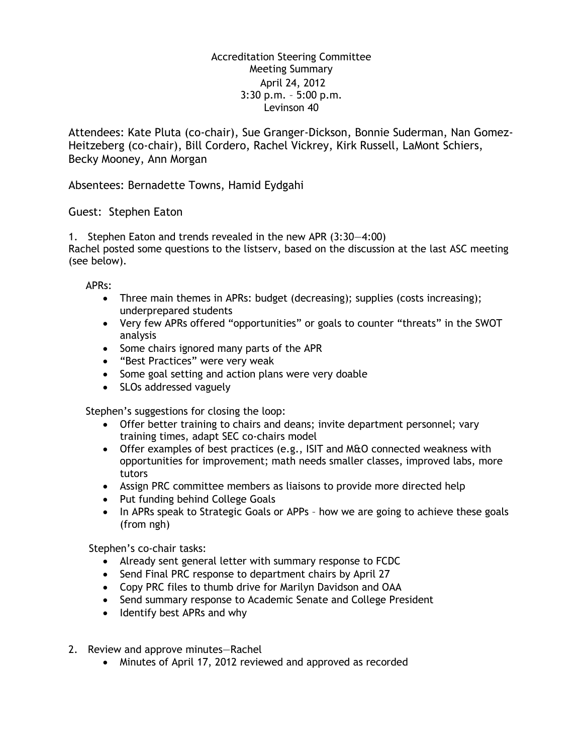## Accreditation Steering Committee Meeting Summary April 24, 2012 3:30 p.m. – 5:00 p.m. Levinson 40

Attendees: Kate Pluta (co-chair), Sue Granger-Dickson, Bonnie Suderman, Nan Gomez-Heitzeberg (co-chair), Bill Cordero, Rachel Vickrey, Kirk Russell, LaMont Schiers, Becky Mooney, Ann Morgan

Absentees: Bernadette Towns, Hamid Eydgahi

## Guest: Stephen Eaton

1. Stephen Eaton and trends revealed in the new APR (3:30—4:00) Rachel posted some questions to the listserv, based on the discussion at the last ASC meeting (see below).

APRs:

- Three main themes in APRs: budget (decreasing); supplies (costs increasing); underprepared students
- Very few APRs offered "opportunities" or goals to counter "threats" in the SWOT analysis
- Some chairs ignored many parts of the APR
- "Best Practices" were very weak
- Some goal setting and action plans were very doable
- SLOs addressed vaguely

Stephen's suggestions for closing the loop:

- Offer better training to chairs and deans; invite department personnel; vary training times, adapt SEC co-chairs model
- Offer examples of best practices (e.g., ISIT and M&O connected weakness with opportunities for improvement; math needs smaller classes, improved labs, more tutors
- Assign PRC committee members as liaisons to provide more directed help
- Put funding behind College Goals
- In APRs speak to Strategic Goals or APPs how we are going to achieve these goals (from ngh)

Stephen's co-chair tasks:

- Already sent general letter with summary response to FCDC
- Send Final PRC response to department chairs by April 27
- Copy PRC files to thumb drive for Marilyn Davidson and OAA
- Send summary response to Academic Senate and College President
- Identify best APRs and why
- 2. Review and approve minutes—Rachel
	- Minutes of April 17, 2012 reviewed and approved as recorded